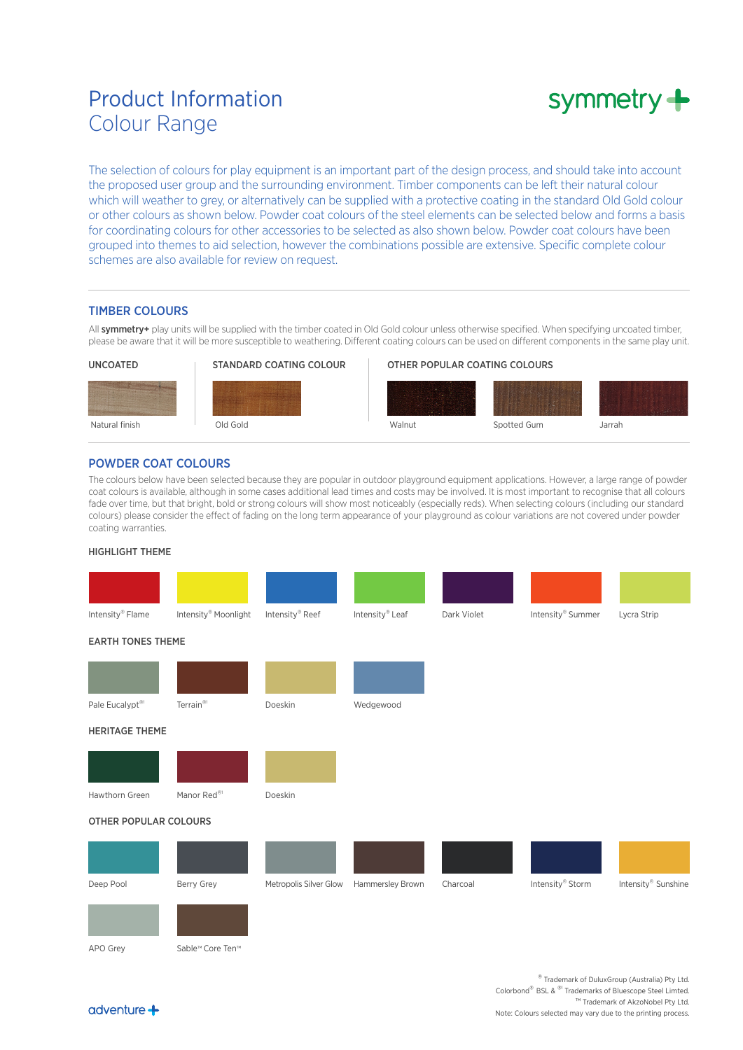# Product Information Colour Range



The selection of colours for play equipment is an important part of the design process, and should take into account the proposed user group and the surrounding environment. Timber components can be left their natural colour which will weather to grey, or alternatively can be supplied with a protective coating in the standard Old Gold colour or other colours as shown below. Powder coat colours of the steel elements can be selected below and forms a basis for coordinating colours for other accessories to be selected as also shown below. Powder coat colours have been grouped into themes to aid selection, however the combinations possible are extensive. Specific complete colour schemes are also available for review on request.

#### TIMBER COLOURS

All symmetry+ play units will be supplied with the timber coated in Old Gold colour unless otherwise specified. When specifying uncoated timber, please be aware that it will be more susceptible to weathering. Different coating colours can be used on different components in the same play unit.



## POWDER COAT COLOURS

The colours below have been selected because they are popular in outdoor playground equipment applications. However, a large range of powder coat colours is available, although in some cases additional lead times and costs may be involved. It is most important to recognise that all colours fade over time, but that bright, bold or strong colours will show most noticeably (especially reds). When selecting colours (including our standard colours) please consider the effect of fading on the long term appearance of your playground as colour variations are not covered under powder coating warranties.

#### HIGHLIGHT THEME

 $adventure +$ 



® Trademark of DuluxGroup (Australia) Pty Ltd. Colorbond® BSL & ®1 Trademarks of Bluescope Steel Limted. <sup>™</sup> Trademark of AkzoNobel Pty Ltd. Note: Colours selected may vary due to the printing process.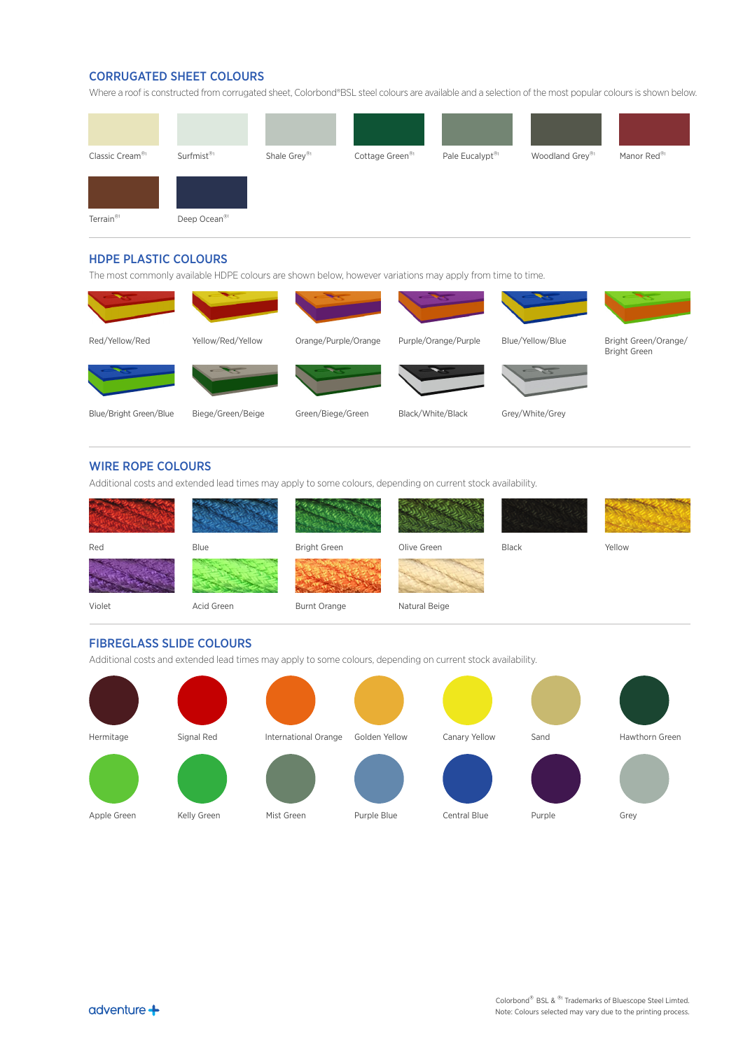# CORRUGATED SHEET COLOURS

Where a roof is constructed from corrugated sheet, Colorbond®BSL steel colours are available and a selection of the most popular colours is shown below.



#### HDPE PLASTIC COLOURS

The most commonly available HDPE colours are shown below, however variations may apply from time to time.



#### WIRE ROPE COLOURS

Additional costs and extended lead times may apply to some colours, depending on current stock availability.



## FIBREGLASS SLIDE COLOURS

Additional costs and extended lead times may apply to some colours, depending on current stock availability.